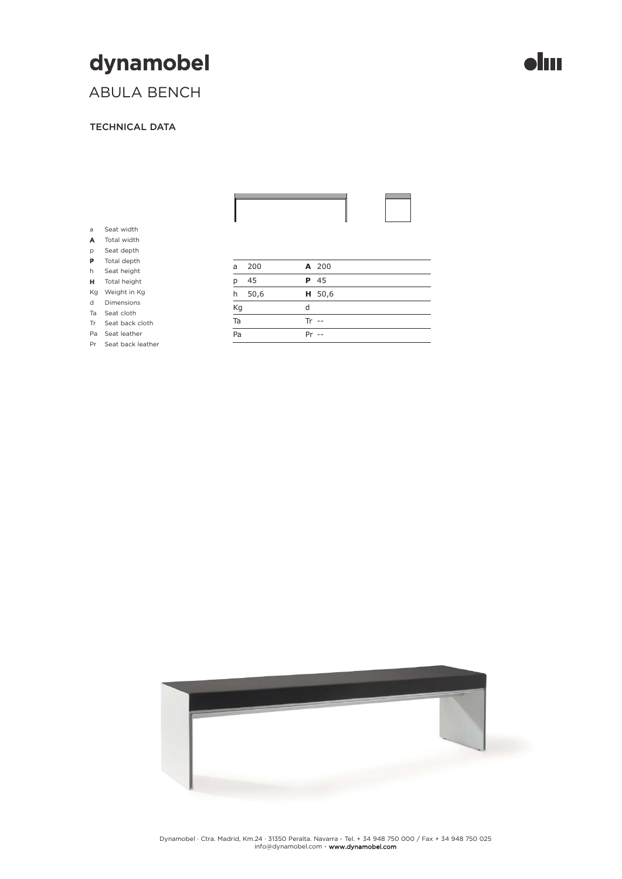## dynamobel

## ABULA BENCH

### TECHNICAL DATA

| a  | Seat width        |           |        |  |
|----|-------------------|-----------|--------|--|
| A  | Total width       |           |        |  |
| p  | Seat depth        |           |        |  |
| P  | Total depth       |           |        |  |
| h  | Seat height       | 200<br>a  | A 200  |  |
| н  | Total height      | 45<br>p   | P 45   |  |
| Kg | Weight in Kg      | 50,6<br>h | H 50,6 |  |
| d  | <b>Dimensions</b> |           | d      |  |
| Ta | Seat cloth        | Kg        |        |  |
| Tr | Seat back cloth   | Ta        | $Tr -$ |  |
| Pa | Seat leather      | Pa        | $Pr -$ |  |
| Pr | Seat back leather |           |        |  |